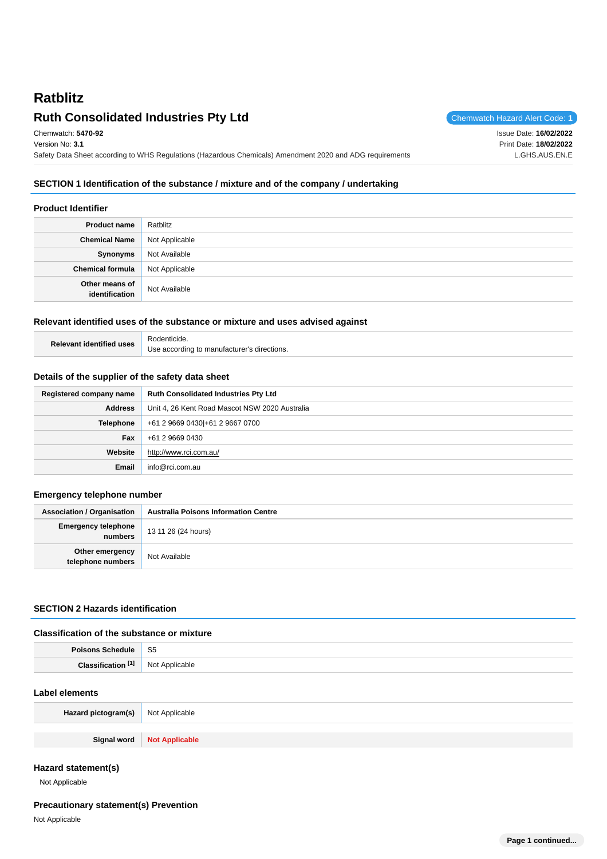# **Ratblitz Ruth Consolidated Industries Pty Ltd Chemwatch Hazard Alert Code: 1**

Chemwatch: **5470-92** Version No: **3.1** Safety Data Sheet according to WHS Regulations (Hazardous Chemicals) Amendment 2020 and ADG requirements Issue Date: **16/02/2022** Print Date: **18/02/2022** L.GHS.AUS.EN.E

# **SECTION 1 Identification of the substance / mixture and of the company / undertaking**

### **Product Identifier**

| <b>Product name</b>              | Ratblitz       |
|----------------------------------|----------------|
| <b>Chemical Name</b>             | Not Applicable |
| Synonyms                         | Not Available  |
| <b>Chemical formula</b>          | Not Applicable |
| Other means of<br>identification | Not Available  |

### **Relevant identified uses of the substance or mixture and uses advised against**

| <b>Relevant identified uses</b> | Rodenticide.                                |
|---------------------------------|---------------------------------------------|
|                                 | Use according to manufacturer's directions. |

### **Details of the supplier of the safety data sheet**

| Registered company name | <b>Ruth Consolidated Industries Pty Ltd</b>    |
|-------------------------|------------------------------------------------|
| <b>Address</b>          | Unit 4, 26 Kent Road Mascot NSW 2020 Australia |
| Telephone               | +61 2 9669 0430 + 61 2 9667 0700               |
| Fax                     | +61 2 9669 0430                                |
| Website                 | http://www.rci.com.au/                         |
| Email                   | info@rci.com.au                                |

### **Emergency telephone number**

| <b>Association / Organisation</b>     | <b>Australia Poisons Information Centre</b> |
|---------------------------------------|---------------------------------------------|
| <b>Emergency telephone</b><br>numbers | 13 11 26 (24 hours)                         |
| Other emergency<br>telephone numbers  | Not Available                               |

# **SECTION 2 Hazards identification**

#### **Classification of the substance or mixture**

| <b>Boicon</b> | r.<br>১১ |
|---------------|----------|
| <b>FA3</b>    |          |
| Class.        | .        |

### **Label elements**

| <b>Hazard pictogram(s)</b> Not Applicable |                              |
|-------------------------------------------|------------------------------|
|                                           |                              |
|                                           | Signal word   Not Applicable |

## **Hazard statement(s)**

Not Applicable

### **Precautionary statement(s) Prevention**

Not Applicable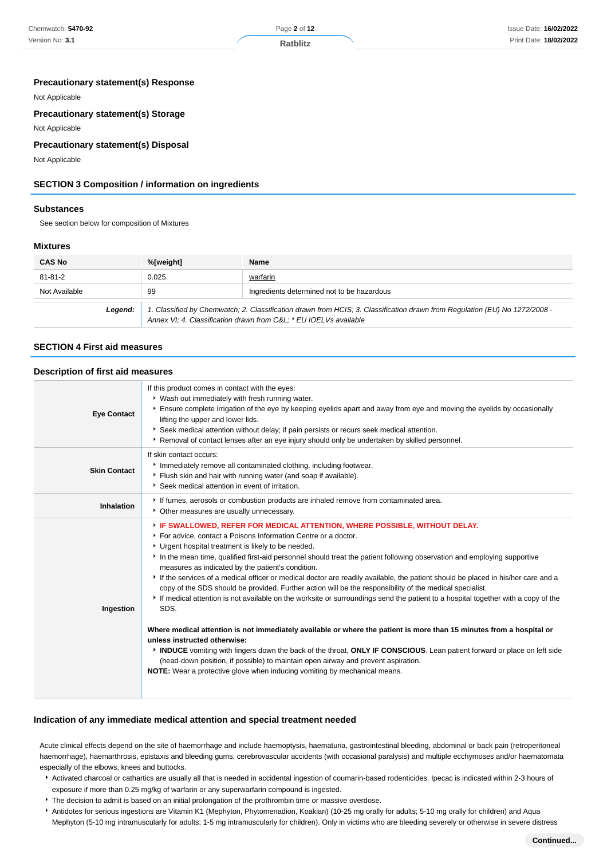### **Ratblitz**

### **Precautionary statement(s) Response**

Not Applicable

### **Precautionary statement(s) Storage**

Not Applicable

### **Precautionary statement(s) Disposal**

Not Applicable

# **SECTION 3 Composition / information on ingredients**

#### **Substances**

See section below for composition of Mixtures

#### **Mixtures**

| <b>CAS No</b>                                                                                                                                                                                             | %[weight] | <b>Name</b>                                |
|-----------------------------------------------------------------------------------------------------------------------------------------------------------------------------------------------------------|-----------|--------------------------------------------|
| 81-81-2                                                                                                                                                                                                   | 0.025     | warfarin                                   |
| Not Available                                                                                                                                                                                             | 99        | Ingredients determined not to be hazardous |
| 1. Classified by Chemwatch; 2. Classification drawn from HCIS; 3. Classification drawn from Regulation (EU) No 1272/2008 -<br>Leaend:<br>Annex VI; 4. Classification drawn from C&L * EU IOELVs available |           |                                            |

#### **SECTION 4 First aid measures**

#### **Description of first aid measures**

| <b>Eye Contact</b>  | If this product comes in contact with the eyes:<br>* Wash out immediately with fresh running water.<br>Ensure complete irrigation of the eye by keeping eyelids apart and away from eye and moving the eyelids by occasionally<br>lifting the upper and lower lids.<br>Seek medical attention without delay; if pain persists or recurs seek medical attention.<br>Removal of contact lenses after an eye injury should only be undertaken by skilled personnel.                                                                                                                                                                                                                                                                                                             |
|---------------------|------------------------------------------------------------------------------------------------------------------------------------------------------------------------------------------------------------------------------------------------------------------------------------------------------------------------------------------------------------------------------------------------------------------------------------------------------------------------------------------------------------------------------------------------------------------------------------------------------------------------------------------------------------------------------------------------------------------------------------------------------------------------------|
| <b>Skin Contact</b> | If skin contact occurs:<br>Immediately remove all contaminated clothing, including footwear.<br>Flush skin and hair with running water (and soap if available).<br>Seek medical attention in event of irritation.                                                                                                                                                                                                                                                                                                                                                                                                                                                                                                                                                            |
| Inhalation          | If fumes, aerosols or combustion products are inhaled remove from contaminated area.<br>• Other measures are usually unnecessary.                                                                                                                                                                                                                                                                                                                                                                                                                                                                                                                                                                                                                                            |
| Ingestion           | FIF SWALLOWED, REFER FOR MEDICAL ATTENTION, WHERE POSSIBLE, WITHOUT DELAY.<br>For advice, contact a Poisons Information Centre or a doctor.<br>Urgent hospital treatment is likely to be needed.<br>In the mean time, qualified first-aid personnel should treat the patient following observation and employing supportive<br>measures as indicated by the patient's condition.<br>If the services of a medical officer or medical doctor are readily available, the patient should be placed in his/her care and a<br>copy of the SDS should be provided. Further action will be the responsibility of the medical specialist.<br>If medical attention is not available on the worksite or surroundings send the patient to a hospital together with a copy of the<br>SDS. |
|                     | Where medical attention is not immediately available or where the patient is more than 15 minutes from a hospital or<br>unless instructed otherwise:<br>INDUCE vomiting with fingers down the back of the throat, ONLY IF CONSCIOUS. Lean patient forward or place on left side<br>(head-down position, if possible) to maintain open airway and prevent aspiration.<br><b>NOTE:</b> Wear a protective glove when inducing vomiting by mechanical means.                                                                                                                                                                                                                                                                                                                     |

### **Indication of any immediate medical attention and special treatment needed**

Acute clinical effects depend on the site of haemorrhage and include haemoptysis, haematuria, gastrointestinal bleeding, abdominal or back pain (retroperitoneal haemorrhage), haemarthrosis, epistaxis and bleeding gums, cerebrovascular accidents (with occasional paralysis) and multiple ecchymoses and/or haematomata especially of the elbows, knees and buttocks.

- Activated charcoal or cathartics are usually all that is needed in accidental ingestion of coumarin-based rodenticides. Ipecac is indicated within 2-3 hours of exposure if more than 0.25 mg/kg of warfarin or any superwarfarin compound is ingested.
- The decision to admit is based on an initial prolongation of the prothrombin time or massive overdose.
- Antidotes for serious ingestions are Vitamin K1 (Mephyton, Phytomenadion, Koakian) (10-25 mg orally for adults; 5-10 mg orally for children) and Aqua Mephyton (5-10 mg intramuscularly for adults; 1-5 mg intramuscularly for children). Only in victims who are bleeding severely or otherwise in severe distress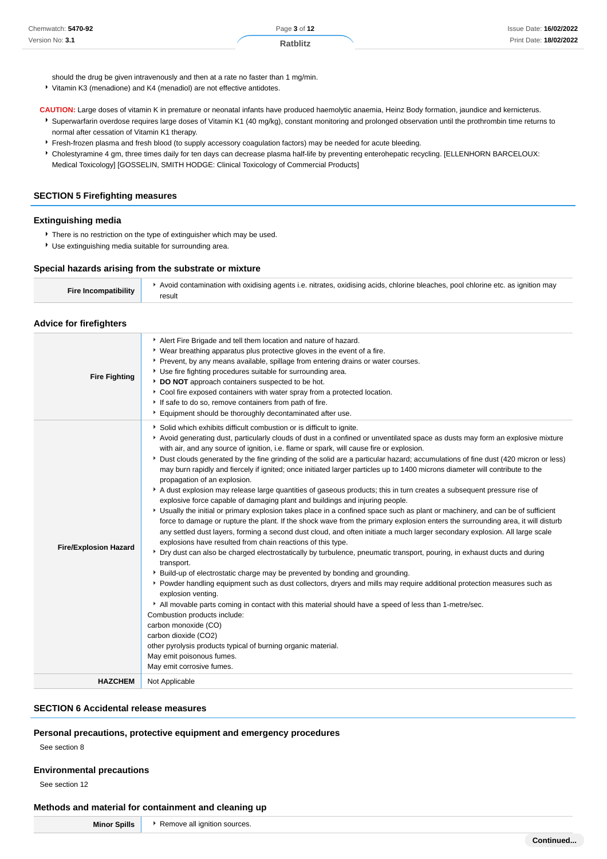should the drug be given intravenously and then at a rate no faster than 1 mg/min.

Vitamin K3 (menadione) and K4 (menadiol) are not effective antidotes.

**CAUTION:** Large doses of vitamin K in premature or neonatal infants have produced haemolytic anaemia, Heinz Body formation, jaundice and kernicterus.

Superwarfarin overdose requires large doses of Vitamin K1 (40 mg/kg), constant monitoring and prolonged observation until the prothrombin time returns to normal after cessation of Vitamin K1 therapy.

- **Fresh-frozen plasma and fresh blood (to supply accessory coagulation factors) may be needed for acute bleeding.**
- \* Cholestyramine 4 gm, three times daily for ten days can decrease plasma half-life by preventing enterohepatic recycling. [ELLENHORN BARCELOUX: Medical Toxicology] [GOSSELIN, SMITH HODGE: Clinical Toxicology of Commercial Products]

### **SECTION 5 Firefighting measures**

#### **Extinguishing media**

There is no restriction on the type of extinguisher which may be used.

Use extinguishing media suitable for surrounding area.

#### **Special hazards arising from the substrate or mixture**

| <b>Fire Incompatibility</b> | Avoid contamination with oxidising agents i.e. nitrates, oxidising acids, chlorine bleaches, pool chlorine etc. as ignition may |
|-----------------------------|---------------------------------------------------------------------------------------------------------------------------------|
|                             | result                                                                                                                          |

#### **Advice for firefighters**

| <b>Fire Fighting</b>         | Alert Fire Brigade and tell them location and nature of hazard.<br>• Wear breathing apparatus plus protective gloves in the event of a fire.<br>Prevent, by any means available, spillage from entering drains or water courses.<br>• Use fire fighting procedures suitable for surrounding area.<br>DO NOT approach containers suspected to be hot.<br>Cool fire exposed containers with water spray from a protected location.<br>If safe to do so, remove containers from path of fire.<br>Equipment should be thoroughly decontaminated after use.                                                                                                                                                                                                                                                                                                                                                                                                                                                                                                                                                                                                                                                                                                                                                                                                                                                                                                                                                                                                                                                                                                                                                                                                                                                                                                                                                                                                                              |
|------------------------------|-------------------------------------------------------------------------------------------------------------------------------------------------------------------------------------------------------------------------------------------------------------------------------------------------------------------------------------------------------------------------------------------------------------------------------------------------------------------------------------------------------------------------------------------------------------------------------------------------------------------------------------------------------------------------------------------------------------------------------------------------------------------------------------------------------------------------------------------------------------------------------------------------------------------------------------------------------------------------------------------------------------------------------------------------------------------------------------------------------------------------------------------------------------------------------------------------------------------------------------------------------------------------------------------------------------------------------------------------------------------------------------------------------------------------------------------------------------------------------------------------------------------------------------------------------------------------------------------------------------------------------------------------------------------------------------------------------------------------------------------------------------------------------------------------------------------------------------------------------------------------------------------------------------------------------------------------------------------------------------|
| <b>Fire/Explosion Hazard</b> | Solid which exhibits difficult combustion or is difficult to ignite.<br>Avoid generating dust, particularly clouds of dust in a confined or unventilated space as dusts may form an explosive mixture<br>with air, and any source of ignition, i.e. flame or spark, will cause fire or explosion.<br>> Dust clouds generated by the fine grinding of the solid are a particular hazard; accumulations of fine dust (420 micron or less)<br>may burn rapidly and fiercely if ignited; once initiated larger particles up to 1400 microns diameter will contribute to the<br>propagation of an explosion.<br>A dust explosion may release large quantities of gaseous products; this in turn creates a subsequent pressure rise of<br>explosive force capable of damaging plant and buildings and injuring people.<br>Usually the initial or primary explosion takes place in a confined space such as plant or machinery, and can be of sufficient<br>force to damage or rupture the plant. If the shock wave from the primary explosion enters the surrounding area, it will disturb<br>any settled dust layers, forming a second dust cloud, and often initiate a much larger secondary explosion. All large scale<br>explosions have resulted from chain reactions of this type.<br>▶ Dry dust can also be charged electrostatically by turbulence, pneumatic transport, pouring, in exhaust ducts and during<br>transport.<br>• Build-up of electrostatic charge may be prevented by bonding and grounding.<br>▶ Powder handling equipment such as dust collectors, dryers and mills may require additional protection measures such as<br>explosion venting.<br>All movable parts coming in contact with this material should have a speed of less than 1-metre/sec.<br>Combustion products include:<br>carbon monoxide (CO)<br>carbon dioxide (CO2)<br>other pyrolysis products typical of burning organic material.<br>May emit poisonous fumes.<br>May emit corrosive fumes. |
| <b>HAZCHEM</b>               | Not Applicable                                                                                                                                                                                                                                                                                                                                                                                                                                                                                                                                                                                                                                                                                                                                                                                                                                                                                                                                                                                                                                                                                                                                                                                                                                                                                                                                                                                                                                                                                                                                                                                                                                                                                                                                                                                                                                                                                                                                                                      |

# **SECTION 6 Accidental release measures**

#### **Personal precautions, protective equipment and emergency procedures**

See section 8

#### **Environmental precautions**

See section 12

### **Methods and material for containment and cleaning up**

Minor Spills **Remove all ignition sources.**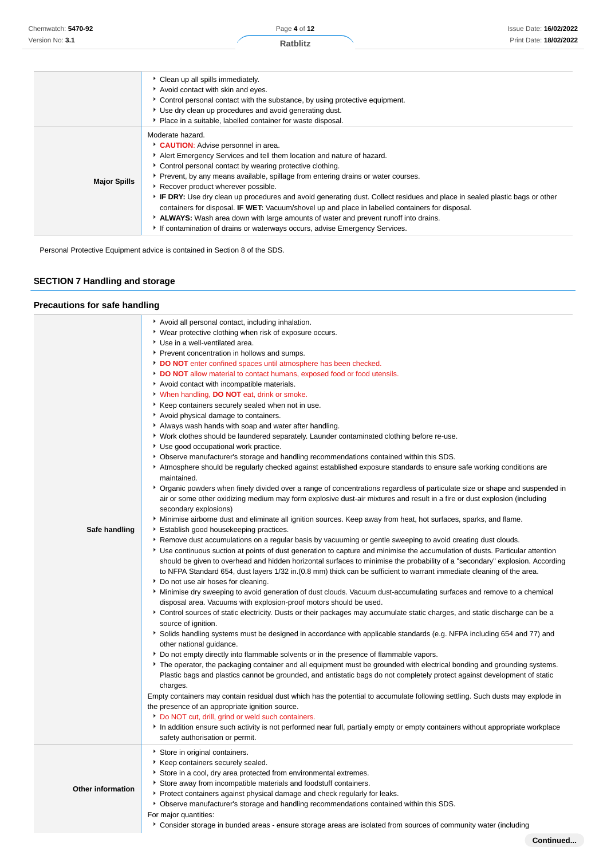|                     | Clean up all spills immediately.<br>Avoid contact with skin and eyes.<br>► Control personal contact with the substance, by using protective equipment.<br>* Use dry clean up procedures and avoid generating dust.<br>• Place in a suitable, labelled container for waste disposal.                                                                                                                                                                                                                                                                                                                                                                                                                                                     |
|---------------------|-----------------------------------------------------------------------------------------------------------------------------------------------------------------------------------------------------------------------------------------------------------------------------------------------------------------------------------------------------------------------------------------------------------------------------------------------------------------------------------------------------------------------------------------------------------------------------------------------------------------------------------------------------------------------------------------------------------------------------------------|
| <b>Major Spills</b> | Moderate hazard.<br><b>CAUTION:</b> Advise personnel in area.<br>Alert Emergency Services and tell them location and nature of hazard.<br>• Control personal contact by wearing protective clothing.<br>▶ Prevent, by any means available, spillage from entering drains or water courses.<br>Recover product wherever possible.<br>F IF DRY: Use dry clean up procedures and avoid generating dust. Collect residues and place in sealed plastic bags or other<br>containers for disposal. IF WET: Vacuum/shovel up and place in labelled containers for disposal.<br>ALWAYS: Wash area down with large amounts of water and prevent runoff into drains.<br>If contamination of drains or waterways occurs, advise Emergency Services. |

Personal Protective Equipment advice is contained in Section 8 of the SDS.

# **SECTION 7 Handling and storage**

# **Precautions for safe handling**

| Safe handling            | Avoid all personal contact, including inhalation.<br>• Wear protective clothing when risk of exposure occurs.<br>Use in a well-ventilated area.<br>Prevent concentration in hollows and sumps.<br>DO NOT enter confined spaces until atmosphere has been checked.<br>DO NOT allow material to contact humans, exposed food or food utensils.<br>Avoid contact with incompatible materials.<br>V When handling, DO NOT eat, drink or smoke.<br>▶ Keep containers securely sealed when not in use.<br>Avoid physical damage to containers.<br>Always wash hands with soap and water after handling.<br>Vork clothes should be laundered separately. Launder contaminated clothing before re-use.<br>Use good occupational work practice.<br>▶ Observe manufacturer's storage and handling recommendations contained within this SDS.<br>Atmosphere should be regularly checked against established exposure standards to ensure safe working conditions are<br>maintained.<br>▶ Organic powders when finely divided over a range of concentrations regardless of particulate size or shape and suspended in<br>air or some other oxidizing medium may form explosive dust-air mixtures and result in a fire or dust explosion (including<br>secondary explosions)<br>Minimise airborne dust and eliminate all ignition sources. Keep away from heat, hot surfaces, sparks, and flame.<br>Establish good housekeeping practices.<br>▶ Remove dust accumulations on a regular basis by vacuuming or gentle sweeping to avoid creating dust clouds.<br>▶ Use continuous suction at points of dust generation to capture and minimise the accumulation of dusts. Particular attention<br>should be given to overhead and hidden horizontal surfaces to minimise the probability of a "secondary" explosion. According<br>to NFPA Standard 654, dust layers 1/32 in. (0.8 mm) thick can be sufficient to warrant immediate cleaning of the area.<br>Do not use air hoses for cleaning.<br>Minimise dry sweeping to avoid generation of dust clouds. Vacuum dust-accumulating surfaces and remove to a chemical<br>disposal area. Vacuums with explosion-proof motors should be used.<br>Control sources of static electricity. Dusts or their packages may accumulate static charges, and static discharge can be a<br>source of ignition.<br>Solids handling systems must be designed in accordance with applicable standards (e.g. NFPA including 654 and 77) and<br>other national guidance.<br>Do not empty directly into flammable solvents or in the presence of flammable vapors.<br>The operator, the packaging container and all equipment must be grounded with electrical bonding and grounding systems.<br>Plastic bags and plastics cannot be grounded, and antistatic bags do not completely protect against development of static<br>charges.<br>Empty containers may contain residual dust which has the potential to accumulate following settling. Such dusts may explode in<br>the presence of an appropriate ignition source. |
|--------------------------|--------------------------------------------------------------------------------------------------------------------------------------------------------------------------------------------------------------------------------------------------------------------------------------------------------------------------------------------------------------------------------------------------------------------------------------------------------------------------------------------------------------------------------------------------------------------------------------------------------------------------------------------------------------------------------------------------------------------------------------------------------------------------------------------------------------------------------------------------------------------------------------------------------------------------------------------------------------------------------------------------------------------------------------------------------------------------------------------------------------------------------------------------------------------------------------------------------------------------------------------------------------------------------------------------------------------------------------------------------------------------------------------------------------------------------------------------------------------------------------------------------------------------------------------------------------------------------------------------------------------------------------------------------------------------------------------------------------------------------------------------------------------------------------------------------------------------------------------------------------------------------------------------------------------------------------------------------------------------------------------------------------------------------------------------------------------------------------------------------------------------------------------------------------------------------------------------------------------------------------------------------------------------------------------------------------------------------------------------------------------------------------------------------------------------------------------------------------------------------------------------------------------------------------------------------------------------------------------------------------------------------------------------------------------------------------------------------------------------------------------------------------------------------------------------------------------------------------------------------------------------------------------------------------------------------------------------------------------------------------------------------------------------------------------|
|                          | Do NOT cut, drill, grind or weld such containers.<br>In addition ensure such activity is not performed near full, partially empty or empty containers without appropriate workplace<br>safety authorisation or permit.                                                                                                                                                                                                                                                                                                                                                                                                                                                                                                                                                                                                                                                                                                                                                                                                                                                                                                                                                                                                                                                                                                                                                                                                                                                                                                                                                                                                                                                                                                                                                                                                                                                                                                                                                                                                                                                                                                                                                                                                                                                                                                                                                                                                                                                                                                                                                                                                                                                                                                                                                                                                                                                                                                                                                                                                                     |
| <b>Other information</b> | Store in original containers.<br>▶ Keep containers securely sealed.<br>Store in a cool, dry area protected from environmental extremes.<br>Store away from incompatible materials and foodstuff containers.<br>Protect containers against physical damage and check regularly for leaks.<br>▶ Observe manufacturer's storage and handling recommendations contained within this SDS.<br>For major quantities:<br>▶ Consider storage in bunded areas - ensure storage areas are isolated from sources of community water (including                                                                                                                                                                                                                                                                                                                                                                                                                                                                                                                                                                                                                                                                                                                                                                                                                                                                                                                                                                                                                                                                                                                                                                                                                                                                                                                                                                                                                                                                                                                                                                                                                                                                                                                                                                                                                                                                                                                                                                                                                                                                                                                                                                                                                                                                                                                                                                                                                                                                                                         |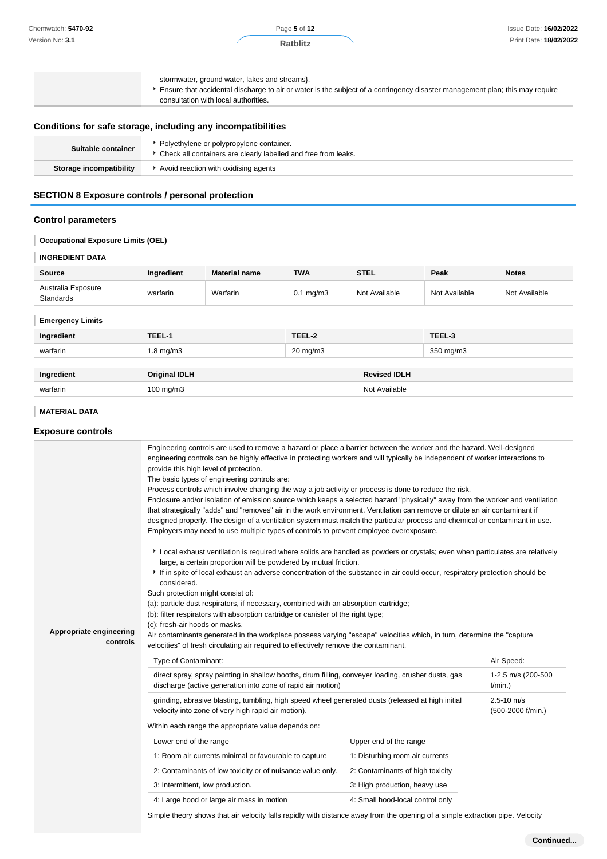| Chemwatch: 5470-92 | Page 5 of 12    | Issue Date: 16/02/2022 |
|--------------------|-----------------|------------------------|
| Version No: 3.1    | <b>Ratblitz</b> | Print Date: 18/02/2022 |
|                    |                 |                        |
|                    |                 |                        |
|                    |                 |                        |

|                      | stormwater, ground water, lakes and streams).<br>Ensure that accidental discharge to air or water is the subject of a contingency disaster management plan; this may require<br>consultation with local authorities. |
|----------------------|----------------------------------------------------------------------------------------------------------------------------------------------------------------------------------------------------------------------|
| $\sim$ $\sim$ $\sim$ | .                                                                                                                                                                                                                    |

# **Conditions for safe storage, including any incompatibilities**

| Suitable container      | Polyethylene or polypropylene container.<br>Check all containers are clearly labelled and free from leaks. |
|-------------------------|------------------------------------------------------------------------------------------------------------|
| Storage incompatibility | Avoid reaction with oxidising agents                                                                       |

# **SECTION 8 Exposure controls / personal protection**

# **Control parameters**

I **Occupational Exposure Limits (OEL)**

# **INGREDIENT DATA**

I

| <b>Source</b>                   | Ingredient | <b>Material name</b> | <b>TWA</b>           | <b>STEL</b>   | Peak          | <b>Notes</b>  |
|---------------------------------|------------|----------------------|----------------------|---------------|---------------|---------------|
| Australia Exposure<br>Standards | warfarin   | Warfarin             | $0.1 \text{ mg/m}$ 3 | Not Available | Not Available | Not Available |

### **Emergency Limits**

| Ingredient | TEEL-1               | TEEL-2              |                     | TEEL-3    |
|------------|----------------------|---------------------|---------------------|-----------|
| warfarin   | $1.8 \text{ mg/m}$ 3 | $20 \text{ mg/m}$ 3 |                     | 350 mg/m3 |
|            |                      |                     |                     |           |
| Ingredient | <b>Original IDLH</b> |                     | <b>Revised IDLH</b> |           |
| warfarin   | $100$ mg/m $3$       |                     | Not Available       |           |

# **MATERIAL DATA**

# **Exposure controls**

|                                     | Engineering controls are used to remove a hazard or place a barrier between the worker and the hazard. Well-designed<br>engineering controls can be highly effective in protecting workers and will typically be independent of worker interactions to<br>provide this high level of protection.<br>The basic types of engineering controls are:<br>Process controls which involve changing the way a job activity or process is done to reduce the risk.<br>Enclosure and/or isolation of emission source which keeps a selected hazard "physically" away from the worker and ventilation<br>that strategically "adds" and "removes" air in the work environment. Ventilation can remove or dilute an air contaminant if<br>designed properly. The design of a ventilation system must match the particular process and chemical or contaminant in use.<br>Employers may need to use multiple types of controls to prevent employee overexposure. |                                                                                                                                                                    |                                     |
|-------------------------------------|----------------------------------------------------------------------------------------------------------------------------------------------------------------------------------------------------------------------------------------------------------------------------------------------------------------------------------------------------------------------------------------------------------------------------------------------------------------------------------------------------------------------------------------------------------------------------------------------------------------------------------------------------------------------------------------------------------------------------------------------------------------------------------------------------------------------------------------------------------------------------------------------------------------------------------------------------|--------------------------------------------------------------------------------------------------------------------------------------------------------------------|-------------------------------------|
| Appropriate engineering<br>controls | Local exhaust ventilation is required where solids are handled as powders or crystals; even when particulates are relatively<br>large, a certain proportion will be powdered by mutual friction.<br>If in spite of local exhaust an adverse concentration of the substance in air could occur, respiratory protection should be<br>considered.<br>Such protection might consist of:<br>(a): particle dust respirators, if necessary, combined with an absorption cartridge;<br>(b): filter respirators with absorption cartridge or canister of the right type;<br>(c): fresh-air hoods or masks.<br>Air contaminants generated in the workplace possess varying "escape" velocities which, in turn, determine the "capture<br>velocities" of fresh circulating air required to effectively remove the contaminant.<br>Type of Contaminant:                                                                                                        |                                                                                                                                                                    | Air Speed:                          |
|                                     | direct spray, spray painting in shallow booths, drum filling, conveyer loading, crusher dusts, gas<br>discharge (active generation into zone of rapid air motion)                                                                                                                                                                                                                                                                                                                                                                                                                                                                                                                                                                                                                                                                                                                                                                                  |                                                                                                                                                                    | 1-2.5 m/s (200-500<br>$f/min.$ )    |
|                                     | grinding, abrasive blasting, tumbling, high speed wheel generated dusts (released at high initial<br>velocity into zone of very high rapid air motion).<br>Within each range the appropriate value depends on:<br>Lower end of the range<br>1: Room air currents minimal or favourable to capture<br>2: Contaminants of low toxicity or of nuisance value only.<br>3: Intermittent, low production.<br>4: Large hood or large air mass in motion                                                                                                                                                                                                                                                                                                                                                                                                                                                                                                   | Upper end of the range<br>1: Disturbing room air currents<br>2: Contaminants of high toxicity<br>3: High production, heavy use<br>4: Small hood-local control only | $2.5 - 10$ m/s<br>(500-2000 f/min.) |
|                                     | Simple theory shows that air velocity falls rapidly with distance away from the opening of a simple extraction pipe. Velocity                                                                                                                                                                                                                                                                                                                                                                                                                                                                                                                                                                                                                                                                                                                                                                                                                      |                                                                                                                                                                    |                                     |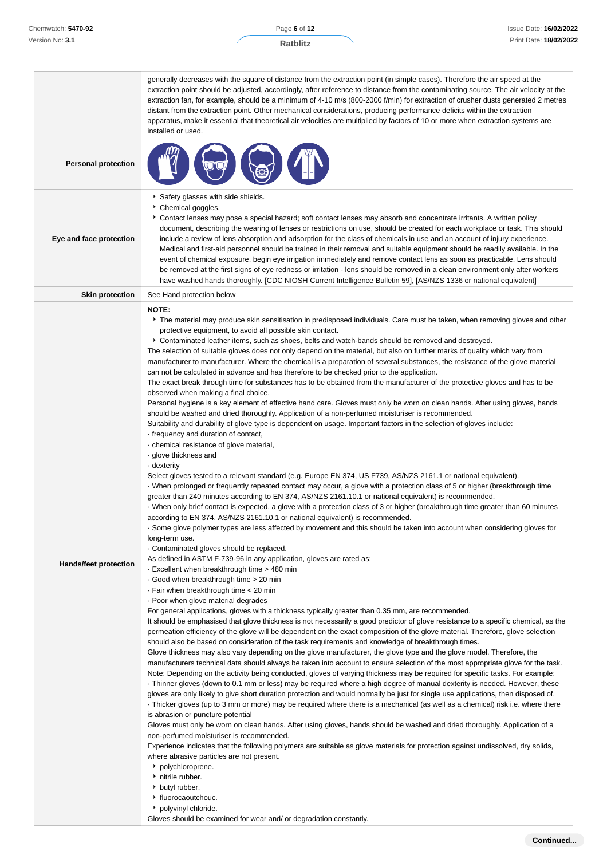|                              | generally decreases with the square of distance from the extraction point (in simple cases). Therefore the air speed at the<br>extraction point should be adjusted, accordingly, after reference to distance from the contaminating source. The air velocity at the<br>extraction fan, for example, should be a minimum of 4-10 m/s (800-2000 f/min) for extraction of crusher dusts generated 2 metres                                                                                                                                                                                                                                                                                                                                                                                                                                                                                                                                                                                                                                                                                                                                                                                                                                                                                                                                                                                                                                                                                                                                                                                                                                                                                                                                                                                                                                                                                                                                                                                                                                                                                                                                                                                                                                                                                                                                                                                                                                                                                                                                                                                                                                                                                                                                                                                                                                                                                                                                                                                                                                                                                                                                                                                                                                                                                                                                                                                                                                                                                                                                                                                                                                                                                                                                                                                                                                                                                                                                                                                                                                                                                                                                                              |
|------------------------------|----------------------------------------------------------------------------------------------------------------------------------------------------------------------------------------------------------------------------------------------------------------------------------------------------------------------------------------------------------------------------------------------------------------------------------------------------------------------------------------------------------------------------------------------------------------------------------------------------------------------------------------------------------------------------------------------------------------------------------------------------------------------------------------------------------------------------------------------------------------------------------------------------------------------------------------------------------------------------------------------------------------------------------------------------------------------------------------------------------------------------------------------------------------------------------------------------------------------------------------------------------------------------------------------------------------------------------------------------------------------------------------------------------------------------------------------------------------------------------------------------------------------------------------------------------------------------------------------------------------------------------------------------------------------------------------------------------------------------------------------------------------------------------------------------------------------------------------------------------------------------------------------------------------------------------------------------------------------------------------------------------------------------------------------------------------------------------------------------------------------------------------------------------------------------------------------------------------------------------------------------------------------------------------------------------------------------------------------------------------------------------------------------------------------------------------------------------------------------------------------------------------------------------------------------------------------------------------------------------------------------------------------------------------------------------------------------------------------------------------------------------------------------------------------------------------------------------------------------------------------------------------------------------------------------------------------------------------------------------------------------------------------------------------------------------------------------------------------------------------------------------------------------------------------------------------------------------------------------------------------------------------------------------------------------------------------------------------------------------------------------------------------------------------------------------------------------------------------------------------------------------------------------------------------------------------------------------------------------------------------------------------------------------------------------------------------------------------------------------------------------------------------------------------------------------------------------------------------------------------------------------------------------------------------------------------------------------------------------------------------------------------------------------------------------------------------------------------------------------------------------------------------------------------------|
|                              | distant from the extraction point. Other mechanical considerations, producing performance deficits within the extraction<br>apparatus, make it essential that theoretical air velocities are multiplied by factors of 10 or more when extraction systems are<br>installed or used.                                                                                                                                                                                                                                                                                                                                                                                                                                                                                                                                                                                                                                                                                                                                                                                                                                                                                                                                                                                                                                                                                                                                                                                                                                                                                                                                                                                                                                                                                                                                                                                                                                                                                                                                                                                                                                                                                                                                                                                                                                                                                                                                                                                                                                                                                                                                                                                                                                                                                                                                                                                                                                                                                                                                                                                                                                                                                                                                                                                                                                                                                                                                                                                                                                                                                                                                                                                                                                                                                                                                                                                                                                                                                                                                                                                                                                                                                   |
| <b>Personal protection</b>   |                                                                                                                                                                                                                                                                                                                                                                                                                                                                                                                                                                                                                                                                                                                                                                                                                                                                                                                                                                                                                                                                                                                                                                                                                                                                                                                                                                                                                                                                                                                                                                                                                                                                                                                                                                                                                                                                                                                                                                                                                                                                                                                                                                                                                                                                                                                                                                                                                                                                                                                                                                                                                                                                                                                                                                                                                                                                                                                                                                                                                                                                                                                                                                                                                                                                                                                                                                                                                                                                                                                                                                                                                                                                                                                                                                                                                                                                                                                                                                                                                                                                                                                                                                      |
| Eye and face protection      | Safety glasses with side shields.<br>Chemical goggles.<br>▶ Contact lenses may pose a special hazard; soft contact lenses may absorb and concentrate irritants. A written policy<br>document, describing the wearing of lenses or restrictions on use, should be created for each workplace or task. This should<br>include a review of lens absorption and adsorption for the class of chemicals in use and an account of injury experience.<br>Medical and first-aid personnel should be trained in their removal and suitable equipment should be readily available. In the<br>event of chemical exposure, begin eye irrigation immediately and remove contact lens as soon as practicable. Lens should<br>be removed at the first signs of eye redness or irritation - lens should be removed in a clean environment only after workers<br>have washed hands thoroughly. [CDC NIOSH Current Intelligence Bulletin 59], [AS/NZS 1336 or national equivalent]                                                                                                                                                                                                                                                                                                                                                                                                                                                                                                                                                                                                                                                                                                                                                                                                                                                                                                                                                                                                                                                                                                                                                                                                                                                                                                                                                                                                                                                                                                                                                                                                                                                                                                                                                                                                                                                                                                                                                                                                                                                                                                                                                                                                                                                                                                                                                                                                                                                                                                                                                                                                                                                                                                                                                                                                                                                                                                                                                                                                                                                                                                                                                                                                      |
| <b>Skin protection</b>       | See Hand protection below                                                                                                                                                                                                                                                                                                                                                                                                                                                                                                                                                                                                                                                                                                                                                                                                                                                                                                                                                                                                                                                                                                                                                                                                                                                                                                                                                                                                                                                                                                                                                                                                                                                                                                                                                                                                                                                                                                                                                                                                                                                                                                                                                                                                                                                                                                                                                                                                                                                                                                                                                                                                                                                                                                                                                                                                                                                                                                                                                                                                                                                                                                                                                                                                                                                                                                                                                                                                                                                                                                                                                                                                                                                                                                                                                                                                                                                                                                                                                                                                                                                                                                                                            |
| <b>Hands/feet protection</b> | <b>NOTE:</b><br>▶ The material may produce skin sensitisation in predisposed individuals. Care must be taken, when removing gloves and other<br>protective equipment, to avoid all possible skin contact.<br>Contaminated leather items, such as shoes, belts and watch-bands should be removed and destroyed.<br>The selection of suitable gloves does not only depend on the material, but also on further marks of quality which vary from<br>manufacturer to manufacturer. Where the chemical is a preparation of several substances, the resistance of the glove material<br>can not be calculated in advance and has therefore to be checked prior to the application.<br>The exact break through time for substances has to be obtained from the manufacturer of the protective gloves and has to be<br>observed when making a final choice.<br>Personal hygiene is a key element of effective hand care. Gloves must only be worn on clean hands. After using gloves, hands<br>should be washed and dried thoroughly. Application of a non-perfumed moisturiser is recommended.<br>Suitability and durability of glove type is dependent on usage. Important factors in the selection of gloves include:<br>frequency and duration of contact,<br>· chemical resistance of glove material,<br>glove thickness and<br>- dexterity<br>Select gloves tested to a relevant standard (e.g. Europe EN 374, US F739, AS/NZS 2161.1 or national equivalent).<br>When prolonged or frequently repeated contact may occur, a glove with a protection class of 5 or higher (breakthrough time<br>greater than 240 minutes according to EN 374, AS/NZS 2161.10.1 or national equivalent) is recommended.<br>When only brief contact is expected, a glove with a protection class of 3 or higher (breakthrough time greater than 60 minutes<br>according to EN 374, AS/NZS 2161.10.1 or national equivalent) is recommended.<br>Some glove polymer types are less affected by movement and this should be taken into account when considering gloves for<br>long-term use.<br>Contaminated gloves should be replaced.<br>As defined in ASTM F-739-96 in any application, gloves are rated as:<br>Excellent when breakthrough time > 480 min<br>Good when breakthrough time > 20 min<br>. Fair when breakthrough time < 20 min<br>· Poor when glove material degrades<br>For general applications, gloves with a thickness typically greater than 0.35 mm, are recommended.<br>It should be emphasised that glove thickness is not necessarily a good predictor of glove resistance to a specific chemical, as the<br>permeation efficiency of the glove will be dependent on the exact composition of the glove material. Therefore, glove selection<br>should also be based on consideration of the task requirements and knowledge of breakthrough times.<br>Glove thickness may also vary depending on the glove manufacturer, the glove type and the glove model. Therefore, the<br>manufacturers technical data should always be taken into account to ensure selection of the most appropriate glove for the task.<br>Note: Depending on the activity being conducted, gloves of varying thickness may be required for specific tasks. For example:<br>Thinner gloves (down to 0.1 mm or less) may be required where a high degree of manual dexterity is needed. However, these<br>gloves are only likely to give short duration protection and would normally be just for single use applications, then disposed of.<br>Thicker gloves (up to 3 mm or more) may be required where there is a mechanical (as well as a chemical) risk i.e. where there<br>is abrasion or puncture potential<br>Gloves must only be worn on clean hands. After using gloves, hands should be washed and dried thoroughly. Application of a<br>non-perfumed moisturiser is recommended.<br>Experience indicates that the following polymers are suitable as glove materials for protection against undissolved, dry solids,<br>where abrasive particles are not present.<br>• polychloroprene.<br>h nitrile rubber.<br>butyl rubber.<br>• fluorocaoutchouc.<br>▶ polyvinyl chloride. |

Gloves should be examined for wear and/ or degradation constantly.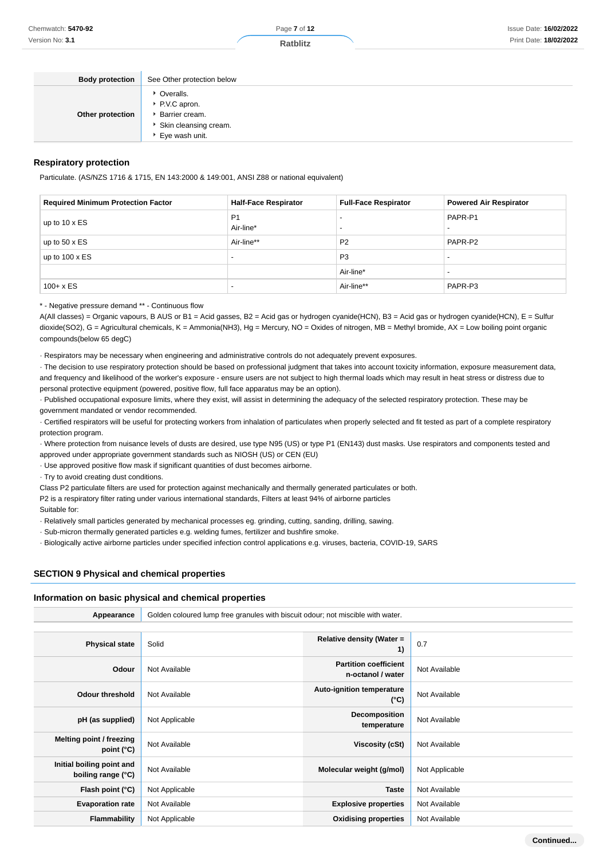Page **7** of **12**

**Ratblitz**

| <b>Body protection</b> | See Other protection below                                                                     |
|------------------------|------------------------------------------------------------------------------------------------|
| Other protection       | ▶ Overalls.<br>▶ P.V.C apron.<br>Barrier cream.<br>► Skin cleansing cream.<br>► Eye wash unit. |

#### **Respiratory protection**

Particulate. (AS/NZS 1716 & 1715, EN 143:2000 & 149:001, ANSI Z88 or national equivalent)

| <b>Required Minimum Protection Factor</b> | <b>Half-Face Respirator</b> | <b>Full-Face Respirator</b> | <b>Powered Air Respirator</b> |
|-------------------------------------------|-----------------------------|-----------------------------|-------------------------------|
| up to $10 \times ES$                      | P <sub>1</sub><br>Air-line* |                             | PAPR-P1                       |
| up to 50 $\times$ ES                      | Air-line**                  | P <sub>2</sub>              | PAPR-P2                       |
| up to $100 \times ES$                     | $\overline{\phantom{0}}$    | P <sub>3</sub>              |                               |
|                                           |                             | Air-line*                   |                               |
| $100 + x ES$                              | $\overline{\phantom{a}}$    | Air-line**                  | PAPR-P3                       |

\* - Negative pressure demand \*\* - Continuous flow

A(All classes) = Organic vapours, B AUS or B1 = Acid gasses, B2 = Acid gas or hydrogen cyanide(HCN), B3 = Acid gas or hydrogen cyanide(HCN), E = Sulfur dioxide(SO2), G = Agricultural chemicals, K = Ammonia(NH3), Hg = Mercury, NO = Oxides of nitrogen, MB = Methyl bromide, AX = Low boiling point organic compounds(below 65 degC)

· Respirators may be necessary when engineering and administrative controls do not adequately prevent exposures.

· The decision to use respiratory protection should be based on professional judgment that takes into account toxicity information, exposure measurement data, and frequency and likelihood of the worker's exposure - ensure users are not subject to high thermal loads which may result in heat stress or distress due to personal protective equipment (powered, positive flow, full face apparatus may be an option).

· Published occupational exposure limits, where they exist, will assist in determining the adequacy of the selected respiratory protection. These may be government mandated or vendor recommended.

· Certified respirators will be useful for protecting workers from inhalation of particulates when properly selected and fit tested as part of a complete respiratory protection program.

· Where protection from nuisance levels of dusts are desired, use type N95 (US) or type P1 (EN143) dust masks. Use respirators and components tested and approved under appropriate government standards such as NIOSH (US) or CEN (EU)

· Use approved positive flow mask if significant quantities of dust becomes airborne.

· Try to avoid creating dust conditions.

Class P2 particulate filters are used for protection against mechanically and thermally generated particulates or both.

P2 is a respiratory filter rating under various international standards, Filters at least 94% of airborne particles

Suitable for:

· Relatively small particles generated by mechanical processes eg. grinding, cutting, sanding, drilling, sawing.

· Sub-micron thermally generated particles e.g. welding fumes, fertilizer and bushfire smoke.

· Biologically active airborne particles under specified infection control applications e.g. viruses, bacteria, COVID-19, SARS

### **SECTION 9 Physical and chemical properties**

#### **Information on basic physical and chemical properties**

| Appearance                                      | Golden coloured lump free granules with biscuit odour; not miscible with water. |                                                   |                |
|-------------------------------------------------|---------------------------------------------------------------------------------|---------------------------------------------------|----------------|
|                                                 |                                                                                 |                                                   |                |
| <b>Physical state</b>                           | Solid                                                                           | Relative density (Water =<br>1)                   | 0.7            |
| Odour                                           | Not Available                                                                   | <b>Partition coefficient</b><br>n-octanol / water | Not Available  |
| <b>Odour threshold</b>                          | Not Available                                                                   | Auto-ignition temperature<br>$(^{\circ}C)$        | Not Available  |
| pH (as supplied)                                | Not Applicable                                                                  | Decomposition<br>temperature                      | Not Available  |
| Melting point / freezing<br>point $(^{\circ}C)$ | Not Available                                                                   | Viscosity (cSt)                                   | Not Available  |
| Initial boiling point and<br>boiling range (°C) | Not Available                                                                   | Molecular weight (g/mol)                          | Not Applicable |
| Flash point (°C)                                | Not Applicable                                                                  | <b>Taste</b>                                      | Not Available  |
| <b>Evaporation rate</b>                         | Not Available                                                                   | <b>Explosive properties</b>                       | Not Available  |
| Flammability                                    | Not Applicable                                                                  | <b>Oxidising properties</b>                       | Not Available  |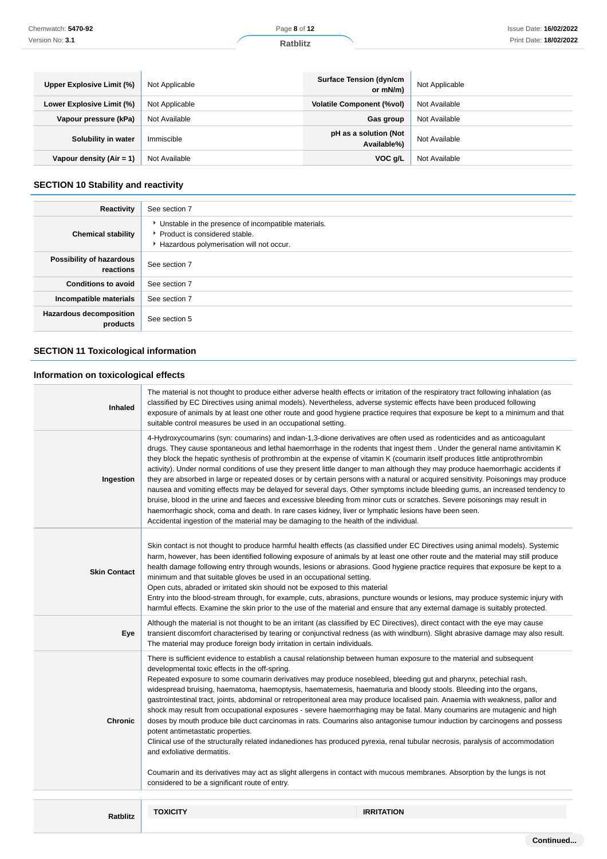| Upper Explosive Limit (%)  | Not Applicable | <b>Surface Tension (dyn/cm</b><br>or mN/m) | Not Applicable |
|----------------------------|----------------|--------------------------------------------|----------------|
| Lower Explosive Limit (%)  | Not Applicable | <b>Volatile Component (%vol)</b>           | Not Available  |
| Vapour pressure (kPa)      | Not Available  | Gas group                                  | Not Available  |
| Solubility in water        | Immiscible     | pH as a solution (Not<br>Available%)       | Not Available  |
| Vapour density $(Air = 1)$ | Not Available  | VOC g/L                                    | Not Available  |

# **SECTION 10 Stability and reactivity**

| Reactivity                                 | See section 7                                                                                                                        |
|--------------------------------------------|--------------------------------------------------------------------------------------------------------------------------------------|
| <b>Chemical stability</b>                  | • Unstable in the presence of incompatible materials.<br>▶ Product is considered stable.<br>Hazardous polymerisation will not occur. |
| Possibility of hazardous<br>reactions      | See section 7                                                                                                                        |
| <b>Conditions to avoid</b>                 | See section 7                                                                                                                        |
| Incompatible materials                     | See section 7                                                                                                                        |
| <b>Hazardous decomposition</b><br>products | See section 5                                                                                                                        |

# **SECTION 11 Toxicological information**

# **Information on toxicological effects**

| <b>Inhaled</b>      | classified by EC Directives using animal models). Nevertheless, adverse systemic effects have been produced following<br>suitable control measures be used in an occupational setting.                                                                                                                                                                                                                                                                                                                                                                                                                                                                                                                                                                                                                                                                                                                                                                                                                                                                                                                                                                                                            | The material is not thought to produce either adverse health effects or irritation of the respiratory tract following inhalation (as<br>exposure of animals by at least one other route and good hygiene practice requires that exposure be kept to a minimum and that                                                                                                                                                                                                                                                                                                                                                                                                                                                                                                                     |
|---------------------|---------------------------------------------------------------------------------------------------------------------------------------------------------------------------------------------------------------------------------------------------------------------------------------------------------------------------------------------------------------------------------------------------------------------------------------------------------------------------------------------------------------------------------------------------------------------------------------------------------------------------------------------------------------------------------------------------------------------------------------------------------------------------------------------------------------------------------------------------------------------------------------------------------------------------------------------------------------------------------------------------------------------------------------------------------------------------------------------------------------------------------------------------------------------------------------------------|--------------------------------------------------------------------------------------------------------------------------------------------------------------------------------------------------------------------------------------------------------------------------------------------------------------------------------------------------------------------------------------------------------------------------------------------------------------------------------------------------------------------------------------------------------------------------------------------------------------------------------------------------------------------------------------------------------------------------------------------------------------------------------------------|
| Ingestion           | they block the hepatic synthesis of prothrombin at the expense of vitamin K (coumarin itself produces little antiprothrombin<br>haemorrhagic shock, coma and death. In rare cases kidney, liver or lymphatic lesions have been seen.<br>Accidental ingestion of the material may be damaging to the health of the individual.                                                                                                                                                                                                                                                                                                                                                                                                                                                                                                                                                                                                                                                                                                                                                                                                                                                                     | 4-Hydroxycoumarins (syn: coumarins) and indan-1,3-dione derivatives are often used as rodenticides and as anticoagulant<br>drugs. They cause spontaneous and lethal haemorrhage in the rodents that ingest them. Under the general name antivitamin K<br>activity). Under normal conditions of use they present little danger to man although they may produce haemorrhagic accidents if<br>they are absorbed in large or repeated doses or by certain persons with a natural or acquired sensitivity. Poisonings may produce<br>nausea and vomiting effects may be delayed for several days. Other symptoms include bleeding gums, an increased tendency to<br>bruise, blood in the urine and faeces and excessive bleeding from minor cuts or scratches. Severe poisonings may result in |
| <b>Skin Contact</b> | minimum and that suitable gloves be used in an occupational setting.<br>Open cuts, abraded or irritated skin should not be exposed to this material                                                                                                                                                                                                                                                                                                                                                                                                                                                                                                                                                                                                                                                                                                                                                                                                                                                                                                                                                                                                                                               | Skin contact is not thought to produce harmful health effects (as classified under EC Directives using animal models). Systemic<br>harm, however, has been identified following exposure of animals by at least one other route and the material may still produce<br>health damage following entry through wounds, lesions or abrasions. Good hygiene practice requires that exposure be kept to a<br>Entry into the blood-stream through, for example, cuts, abrasions, puncture wounds or lesions, may produce systemic injury with<br>harmful effects. Examine the skin prior to the use of the material and ensure that any external damage is suitably protected.                                                                                                                    |
| Eye                 | Although the material is not thought to be an irritant (as classified by EC Directives), direct contact with the eye may cause<br>The material may produce foreign body irritation in certain individuals.                                                                                                                                                                                                                                                                                                                                                                                                                                                                                                                                                                                                                                                                                                                                                                                                                                                                                                                                                                                        | transient discomfort characterised by tearing or conjunctival redness (as with windburn). Slight abrasive damage may also result.                                                                                                                                                                                                                                                                                                                                                                                                                                                                                                                                                                                                                                                          |
| <b>Chronic</b>      | There is sufficient evidence to establish a causal relationship between human exposure to the material and subsequent<br>developmental toxic effects in the off-spring.<br>Repeated exposure to some coumarin derivatives may produce nosebleed, bleeding gut and pharynx, petechial rash,<br>widespread bruising, haematoma, haemoptysis, haematemesis, haematuria and bloody stools. Bleeding into the organs,<br>gastrointestinal tract, joints, abdominal or retroperitoneal area may produce localised pain. Anaemia with weakness, pallor and<br>shock may result from occupational exposures - severe haemorrhaging may be fatal. Many coumarins are mutagenic and high<br>doses by mouth produce bile duct carcinomas in rats. Coumarins also antagonise tumour induction by carcinogens and possess<br>potent antimetastatic properties.<br>Clinical use of the structurally related indanediones has produced pyrexia, renal tubular necrosis, paralysis of accommodation<br>and exfoliative dermatitis.<br>Coumarin and its derivatives may act as slight allergens in contact with mucous membranes. Absorption by the lungs is not<br>considered to be a significant route of entry. |                                                                                                                                                                                                                                                                                                                                                                                                                                                                                                                                                                                                                                                                                                                                                                                            |
|                     | <b>TOXICITY</b>                                                                                                                                                                                                                                                                                                                                                                                                                                                                                                                                                                                                                                                                                                                                                                                                                                                                                                                                                                                                                                                                                                                                                                                   | <b>IRRITATION</b>                                                                                                                                                                                                                                                                                                                                                                                                                                                                                                                                                                                                                                                                                                                                                                          |
| <b>Ratblitz</b>     |                                                                                                                                                                                                                                                                                                                                                                                                                                                                                                                                                                                                                                                                                                                                                                                                                                                                                                                                                                                                                                                                                                                                                                                                   |                                                                                                                                                                                                                                                                                                                                                                                                                                                                                                                                                                                                                                                                                                                                                                                            |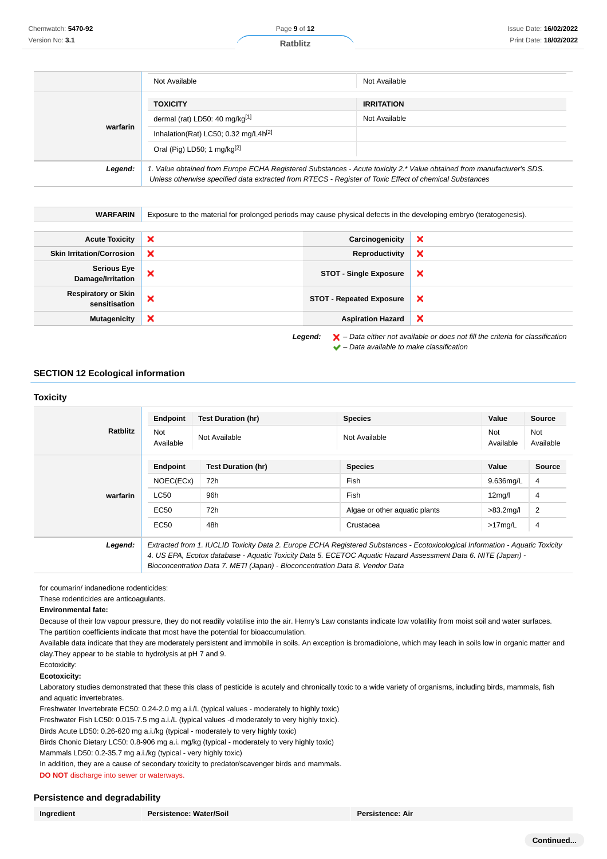|          | Not Available                                                                                                                                                                                                                   | Not Available     |
|----------|---------------------------------------------------------------------------------------------------------------------------------------------------------------------------------------------------------------------------------|-------------------|
|          |                                                                                                                                                                                                                                 |                   |
|          | <b>TOXICITY</b>                                                                                                                                                                                                                 | <b>IRRITATION</b> |
| warfarin | dermal (rat) LD50: 40 mg/kg <sup>[1]</sup>                                                                                                                                                                                      | Not Available     |
|          | Inhalation(Rat) LC50; 0.32 mg/L4h <sup>[2]</sup>                                                                                                                                                                                |                   |
|          | Oral (Pig) LD50; 1 mg/kg $[2]$                                                                                                                                                                                                  |                   |
| Legend:  | 1. Value obtained from Europe ECHA Registered Substances - Acute toxicity 2.* Value obtained from manufacturer's SDS.<br>Unless otherwise specified data extracted from RTECS - Register of Toxic Effect of chemical Substances |                   |

| <b>WARFARIN</b>                             | Exposure to the material for prolonged periods may cause physical defects in the developing embryo (teratogenesis). |                                 |   |
|---------------------------------------------|---------------------------------------------------------------------------------------------------------------------|---------------------------------|---|
| <b>Acute Toxicity</b>                       | ×                                                                                                                   | Carcinogenicity                 | × |
| <b>Skin Irritation/Corrosion</b>            | ×                                                                                                                   | Reproductivity                  | × |
| <b>Serious Eye</b><br>Damage/Irritation     | ×                                                                                                                   | <b>STOT - Single Exposure</b>   | × |
| <b>Respiratory or Skin</b><br>sensitisation | ×                                                                                                                   | <b>STOT - Repeated Exposure</b> | × |
| <b>Mutagenicity</b>                         | ×                                                                                                                   | <b>Aspiration Hazard</b>        | × |

 $\blacktriangleright$  – Data available to make classification

### **SECTION 12 Ecological information**

### **Toxicity**

|                 | <b>Endpoint</b>         | <b>Test Duration (hr)</b>                                                    | <b>Species</b>                                                                                                                | Value               | Source                  |
|-----------------|-------------------------|------------------------------------------------------------------------------|-------------------------------------------------------------------------------------------------------------------------------|---------------------|-------------------------|
| <b>Ratblitz</b> | <b>Not</b><br>Available | Not Available                                                                | Not Available                                                                                                                 | Not<br>Available    | <b>Not</b><br>Available |
|                 | Endpoint                | <b>Test Duration (hr)</b>                                                    | <b>Species</b>                                                                                                                | Value               | <b>Source</b>           |
|                 | NOEC(ECx)               | 72h                                                                          | Fish                                                                                                                          | 9.636mg/L           | 4                       |
| warfarin        | LC50                    | 96h                                                                          | Fish                                                                                                                          | 12 <sub>mq</sub> /I | 4                       |
|                 | EC50                    | 72h                                                                          | Algae or other aquatic plants                                                                                                 | $>83.2$ mg/l        | 2                       |
|                 | EC50                    | 48h                                                                          | Crustacea                                                                                                                     | $>17$ mg/L          | 4                       |
| Legend:         |                         |                                                                              | Extracted from 1. IUCLID Toxicity Data 2. Europe ECHA Registered Substances - Ecotoxicological Information - Aquatic Toxicity |                     |                         |
|                 |                         |                                                                              | 4. US EPA, Ecotox database - Aquatic Toxicity Data 5. ECETOC Aquatic Hazard Assessment Data 6. NITE (Japan) -                 |                     |                         |
|                 |                         | Bioconcentration Data 7. METI (Japan) - Bioconcentration Data 8. Vendor Data |                                                                                                                               |                     |                         |

for coumarin/ indanedione rodenticides:

These rodenticides are anticoagulants.

#### **Environmental fate:**

Because of their low vapour pressure, they do not readily volatilise into the air. Henry's Law constants indicate low volatility from moist soil and water surfaces. The partition coefficients indicate that most have the potential for bioaccumulation.

Available data indicate that they are moderately persistent and immobile in soils. An exception is bromadiolone, which may leach in soils low in organic matter and clay.They appear to be stable to hydrolysis at pH 7 and 9.

Ecotoxicity:

#### **Ecotoxicity:**

Laboratory studies demonstrated that these this class of pesticide is acutely and chronically toxic to a wide variety of organisms, including birds, mammals, fish and aquatic invertebrates.

Freshwater Invertebrate EC50: 0.24-2.0 mg a.i./L (typical values - moderately to highly toxic)

Freshwater Fish LC50: 0.015-7.5 mg a.i./L (typical values -d moderately to very highly toxic).

Birds Acute LD50: 0.26-620 mg a.i./kg (typical - moderately to very highly toxic)

Birds Chonic Dietary LC50: 0.8-906 mg a.i. mg/kg (typical - moderately to very highly toxic)

Mammals LD50: 0.2-35.7 mg a.i./kg (typical - very highly toxic)

In addition, they are a cause of secondary toxicity to predator/scavenger birds and mammals.

**DO NOT** discharge into sewer or waterways.

### **Persistence and degradability**

| Ingredient |
|------------|
|------------|

**Ingredient Persistence: Water/Soil Persistence: Air**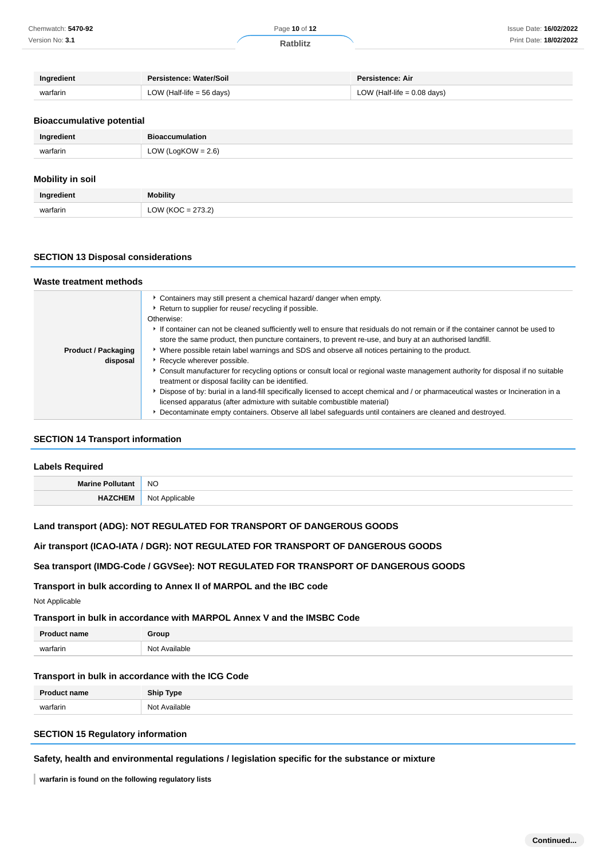| Ingredient | Persistence: Water/Soil     | Persistence: Air              |
|------------|-----------------------------|-------------------------------|
| warfarin   | LOW (Half-life $=$ 56 days) | LOW (Half-life $= 0.08$ days) |

### **Bioaccumulative potential**

| Ingredient | <b>Bioaccumulation</b> |
|------------|------------------------|
| warfarin   | LOW (LogKOW = $2.6$ )  |
|            |                        |

# **Mobility in soil**

| Ingredient | <b>Mobility</b>                               |
|------------|-----------------------------------------------|
| warfarin   | $OC = 273.2$<br>$\frac{1}{2}$<br><b>11.01</b> |

### **SECTION 13 Disposal considerations**

| Waste treatment methods    |                                                                                                                                                                                                                |  |  |
|----------------------------|----------------------------------------------------------------------------------------------------------------------------------------------------------------------------------------------------------------|--|--|
|                            | • Containers may still present a chemical hazard/ danger when empty.                                                                                                                                           |  |  |
|                            | Return to supplier for reuse/ recycling if possible.                                                                                                                                                           |  |  |
|                            | Otherwise:                                                                                                                                                                                                     |  |  |
|                            | If container can not be cleaned sufficiently well to ensure that residuals do not remain or if the container cannot be used to                                                                                 |  |  |
|                            | store the same product, then puncture containers, to prevent re-use, and bury at an authorised landfill.                                                                                                       |  |  |
| <b>Product / Packaging</b> | ▶ Where possible retain label warnings and SDS and observe all notices pertaining to the product.                                                                                                              |  |  |
| disposal                   | Recycle wherever possible.                                                                                                                                                                                     |  |  |
|                            | Consult manufacturer for recycling options or consult local or regional waste management authority for disposal if no suitable<br>treatment or disposal facility can be identified.                            |  |  |
|                            | ▶ Dispose of by: burial in a land-fill specifically licensed to accept chemical and / or pharmaceutical wastes or Incineration in a<br>licensed apparatus (after admixture with suitable combustible material) |  |  |
|                            | Decontaminate empty containers. Observe all label safeguards until containers are cleaned and destroyed.                                                                                                       |  |  |

### **SECTION 14 Transport information**

| <b>Labels Required</b> |                |
|------------------------|----------------|
| Marine Pollutant NO    |                |
| <b>HAZCHEM</b>         | Not Applicable |

# **Land transport (ADG): NOT REGULATED FOR TRANSPORT OF DANGEROUS GOODS**

### **Air transport (ICAO-IATA / DGR): NOT REGULATED FOR TRANSPORT OF DANGEROUS GOODS**

### **Sea transport (IMDG-Code / GGVSee): NOT REGULATED FOR TRANSPORT OF DANGEROUS GOODS**

### **Transport in bulk according to Annex II of MARPOL and the IBC code**

Not Applicable

### **Transport in bulk in accordance with MARPOL Annex V and the IMSBC Code**

| <b>Product name</b> | Group                       |
|---------------------|-----------------------------|
| warfarin<br>        | Available<br>N <sub>0</sub> |

### **Transport in bulk in accordance with the ICG Code**

| <b>Product name</b> | <b>Ship Type</b>        |
|---------------------|-------------------------|
| warfarin            | $N \cap$<br>: Available |

### **SECTION 15 Regulatory information**

### **Safety, health and environmental regulations / legislation specific for the substance or mixture**

**warfarin is found on the following regulatory lists**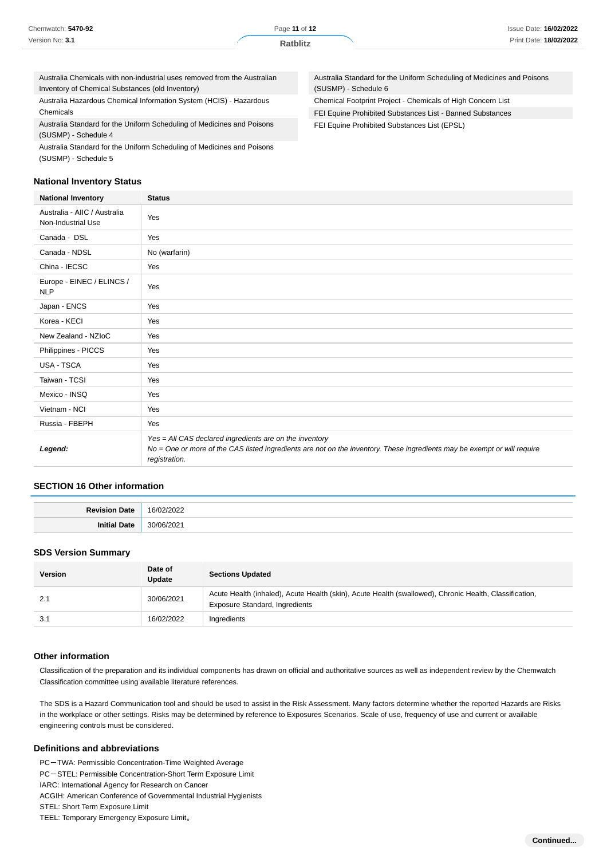| Chemwatch: 5470-92 |  |
|--------------------|--|
| Version No: 3.1    |  |

(SUSMP) - Schedule 6

Australia Standard for the Uniform Scheduling of Medicines and Poisons

Chemical Footprint Project - Chemicals of High Concern List FEI Equine Prohibited Substances List - Banned Substances

FEI Equine Prohibited Substances List (EPSL)

Australia Chemicals with non-industrial uses removed from the Australian Inventory of Chemical Substances (old Inventory)

Australia Hazardous Chemical Information System (HCIS) - Hazardous Chemicals

Australia Standard for the Uniform Scheduling of Medicines and Poisons (SUSMP) - Schedule 4

Australia Standard for the Uniform Scheduling of Medicines and Poisons (SUSMP) - Schedule 5

# **National Inventory Status**

**National Inventory Status** Australia - AIIC / Australia Australia - Allo / Australia<br>Non-Industrial Use Canada - DSL Yes Canada - NDSL No (warfarin) China - IECSC Yes Europe - EINEC / ELINCS / Yes Japan - ENCS Yes Korea - KECI Yes New Zealand - NZIoC Yes Philippines - PICCS Yes USA - TSCA Yes Taiwan - TCSI Yes Mexico - INSQ Yes Vietnam - NCI Yes Russia - FBEPH Yes **Legend:** Yes = All CAS declared ingredients are on the inventory No = One or more of the CAS listed ingredients are not on the inventory. These ingredients may be exempt or will require registration.

# **SECTION 16 Other information**

| $P_{\text{out}}$<br>)atr | $\sim$<br>$\sim$        |
|--------------------------|-------------------------|
| Ini<br>יני ה             | $\sim$<br>$\sim$ $\sim$ |

### **SDS Version Summary**

| <b>Version</b> | Date of<br>Update | <b>Sections Updated</b>                                                                                                                         |
|----------------|-------------------|-------------------------------------------------------------------------------------------------------------------------------------------------|
| 2.1            | 30/06/2021        | Acute Health (inhaled), Acute Health (skin), Acute Health (swallowed), Chronic Health, Classification,<br><b>Exposure Standard, Ingredients</b> |
| 3.1            | 16/02/2022        | Ingredients                                                                                                                                     |

### **Other information**

Classification of the preparation and its individual components has drawn on official and authoritative sources as well as independent review by the Chemwatch Classification committee using available literature references.

The SDS is a Hazard Communication tool and should be used to assist in the Risk Assessment. Many factors determine whether the reported Hazards are Risks in the workplace or other settings. Risks may be determined by reference to Exposures Scenarios. Scale of use, frequency of use and current or available engineering controls must be considered.

### **Definitions and abbreviations**

PC-TWA: Permissible Concentration-Time Weighted Average PC-STEL: Permissible Concentration-Short Term Exposure Limit IARC: International Agency for Research on Cancer ACGIH: American Conference of Governmental Industrial Hygienists STEL: Short Term Exposure Limit TEEL: Temporary Emergency Exposure Limit。